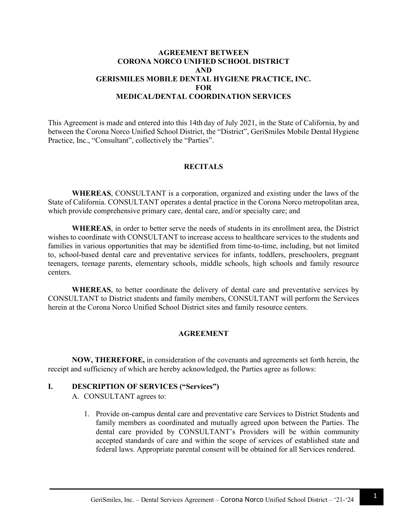## **AGREEMENT BETWEEN CORONA NORCO UNIFIED SCHOOL DISTRICT AND GERISMILES MOBILE DENTAL HYGIENE PRACTICE, INC. FOR MEDICAL/DENTAL COORDINATION SERVICES**

This Agreement is made and entered into this 14th day of July 2021, in the State of California, by and between the Corona Norco Unified School District, the "District", GeriSmiles Mobile Dental Hygiene Practice, Inc., "Consultant", collectively the "Parties".

#### **RECITALS**

**WHEREAS**, CONSULTANT is a corporation, organized and existing under the laws of the State of California. CONSULTANT operates a dental practice in the Corona Norco metropolitan area, which provide comprehensive primary care, dental care, and/or specialty care; and

**WHEREAS**, in order to better serve the needs of students in its enrollment area, the District wishes to coordinate with CONSULTANT to increase access to healthcare services to the students and families in various opportunities that may be identified from time-to-time, including, but not limited to, school-based dental care and preventative services for infants, toddlers, preschoolers, pregnant teenagers, teenage parents, elementary schools, middle schools, high schools and family resource centers.

**WHEREAS**, to better coordinate the delivery of dental care and preventative services by CONSULTANT to District students and family members, CONSULTANT will perform the Services herein at the Corona Norco Unified School District sites and family resource centers.

#### **AGREEMENT**

**NOW, THEREFORE,** in consideration of the covenants and agreements set forth herein, the receipt and sufficiency of which are hereby acknowledged, the Parties agree as follows:

#### **I. DESCRIPTION OF SERVICES ("Services")**

A. CONSULTANT agrees to:

1. Provide on-campus dental care and preventative care Services to District Students and family members as coordinated and mutually agreed upon between the Parties. The dental care provided by CONSULTANT's Providers will be within community accepted standards of care and within the scope of services of established state and federal laws. Appropriate parental consent will be obtained for all Services rendered.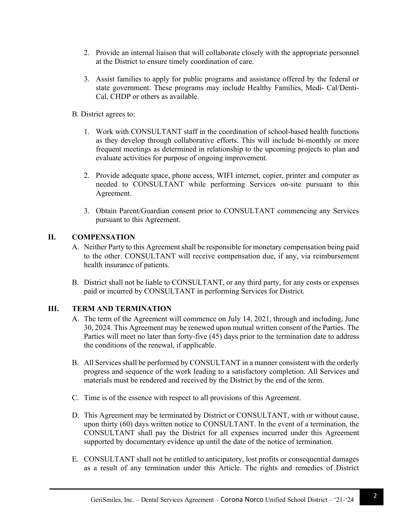- 2. Provide an internal liaison that will collaborate closely with the appropriate personnel at the District to ensure timely coordination of care.
- 3. Assist families to apply for public programs and assistance offered by the federal or state government. These programs may include Healthy Families, Medi- Cal/Denti-Cal, CHDP or others as available.
- B. District agrees to:
	- 1. Work with CONSULTANT staff in the coordination of school-based health functions as they develop through collaborative efforts. This will include bi-monthly or more frequent meetings as determined in relationship to the upcoming projects to plan and evaluate activities for purpose of ongoing improvement.
	- 2. Provide adequate space, phone access, WIFI internet, copier, printer and computer as needed to CONSULTANT while performing Services on-site pursuant to this Agreement.
	- 3. Obtain Parent/Guardian consent prior to CONSULTANT commencing any Services pursuant to this Agreement.

## **II. COMPENSATION**

- A. Neither Party to this Agreement shall be responsible for monetary compensation being paid to the other. CONSULTANT will receive compensation due, if any, via reimbursement health insurance of patients.
- B. District shall not be liable to CONSULTANT, or any third party, for any costs or expenses paid or incurred by CONSULTANT in performing Services for District.

# **III. TERM AND TERMINATION**

- A. The term of the Agreement will commence on July 14, 2021, through and including, June 30, 2024. This Agreement may be renewed upon mutual written consent of the Parties. The Parties will meet no later than forty-five (45) days prior to the termination date to address the conditions of the renewal, if applicable.
- B. All Services shall be performed by CONSULTANT in a manner consistent with the orderly progress and sequence of the work leading to a satisfactory completion. All Services and materials must be rendered and received by the District by the end of the term.
- C. Time is of the essence with respect to all provisions of this Agreement.
- D. This Agreement may be terminated by District or CONSULTANT, with or without cause, upon thirty (60) days written notice to CONSULTANT. In the event of a termination, the CONSULTANT shall pay the District for all expenses incurred under this Agreement supported by documentary evidence up until the date of the notice of termination.
- E. CONSULTANT shall not be entitled to anticipatory, lost profits or consequential damages as a result of any termination under this Article. The rights and remedies of District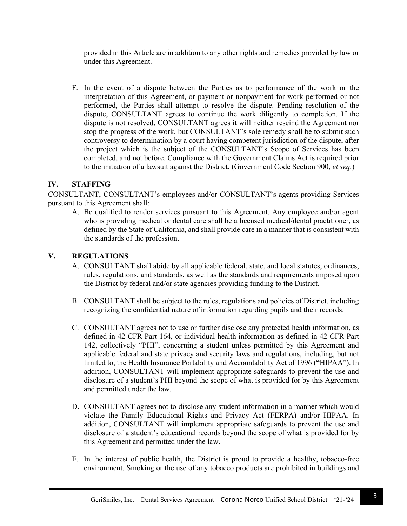provided in this Article are in addition to any other rights and remedies provided by law or under this Agreement.

F. In the event of a dispute between the Parties as to performance of the work or the interpretation of this Agreement, or payment or nonpayment for work performed or not performed, the Parties shall attempt to resolve the dispute. Pending resolution of the dispute, CONSULTANT agrees to continue the work diligently to completion. If the dispute is not resolved, CONSULTANT agrees it will neither rescind the Agreement nor stop the progress of the work, but CONSULTANT's sole remedy shall be to submit such controversy to determination by a court having competent jurisdiction of the dispute, after the project which is the subject of the CONSULTANT's Scope of Services has been completed, and not before. Compliance with the Government Claims Act is required prior to the initiation of a lawsuit against the District. (Government Code Section 900, *et seq.*)

### **IV. STAFFING**

CONSULTANT, CONSULTANT's employees and/or CONSULTANT's agents providing Services pursuant to this Agreement shall:

A. Be qualified to render services pursuant to this Agreement. Any employee and/or agent who is providing medical or dental care shall be a licensed medical/dental practitioner, as defined by the State of California, and shall provide care in a manner that is consistent with the standards of the profession.

### **V. REGULATIONS**

- A. CONSULTANT shall abide by all applicable federal, state, and local statutes, ordinances, rules, regulations, and standards, as well as the standards and requirements imposed upon the District by federal and/or state agencies providing funding to the District.
- B. CONSULTANT shall be subject to the rules, regulations and policies of District, including recognizing the confidential nature of information regarding pupils and their records.
- C. CONSULTANT agrees not to use or further disclose any protected health information, as defined in 42 CFR Part 164, or individual health information as defined in 42 CFR Part 142, collectively "PHI", concerning a student unless permitted by this Agreement and applicable federal and state privacy and security laws and regulations, including, but not limited to, the Health Insurance Portability and Accountability Act of 1996 ("HIPAA"). In addition, CONSULTANT will implement appropriate safeguards to prevent the use and disclosure of a student's PHI beyond the scope of what is provided for by this Agreement and permitted under the law.
- D. CONSULTANT agrees not to disclose any student information in a manner which would violate the Family Educational Rights and Privacy Act (FERPA) and/or HIPAA. In addition, CONSULTANT will implement appropriate safeguards to prevent the use and disclosure of a student's educational records beyond the scope of what is provided for by this Agreement and permitted under the law.
- E. In the interest of public health, the District is proud to provide a healthy, tobacco-free environment. Smoking or the use of any tobacco products are prohibited in buildings and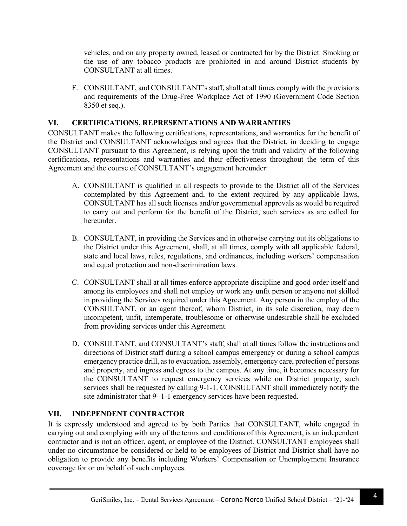vehicles, and on any property owned, leased or contracted for by the District. Smoking or the use of any tobacco products are prohibited in and around District students by CONSULTANT at all times.

F. CONSULTANT, and CONSULTANT's staff, shall at all times comply with the provisions and requirements of the Drug-Free Workplace Act of 1990 (Government Code Section 8350 et seq.).

## **VI. CERTIFICATIONS, REPRESENTATIONS AND WARRANTIES**

CONSULTANT makes the following certifications, representations, and warranties for the benefit of the District and CONSULTANT acknowledges and agrees that the District, in deciding to engage CONSULTANT pursuant to this Agreement, is relying upon the truth and validity of the following certifications, representations and warranties and their effectiveness throughout the term of this Agreement and the course of CONSULTANT's engagement hereunder:

- A. CONSULTANT is qualified in all respects to provide to the District all of the Services contemplated by this Agreement and, to the extent required by any applicable laws, CONSULTANT has all such licenses and/or governmental approvals as would be required to carry out and perform for the benefit of the District, such services as are called for hereunder.
- B. CONSULTANT, in providing the Services and in otherwise carrying out its obligations to the District under this Agreement, shall, at all times, comply with all applicable federal, state and local laws, rules, regulations, and ordinances, including workers' compensation and equal protection and non-discrimination laws.
- C. CONSULTANT shall at all times enforce appropriate discipline and good order itself and among its employees and shall not employ or work any unfit person or anyone not skilled in providing the Services required under this Agreement. Any person in the employ of the CONSULTANT, or an agent thereof, whom District, in its sole discretion, may deem incompetent, unfit, intemperate, troublesome or otherwise undesirable shall be excluded from providing services under this Agreement.
- D. CONSULTANT, and CONSULTANT's staff, shall at all times follow the instructions and directions of District staff during a school campus emergency or during a school campus emergency practice drill, as to evacuation, assembly, emergency care, protection of persons and property, and ingress and egress to the campus. At any time, it becomes necessary for the CONSULTANT to request emergency services while on District property, such services shall be requested by calling 9-1-1. CONSULTANT shall immediately notify the site administrator that 9- 1-1 emergency services have been requested.

# **VII. INDEPENDENT CONTRACTOR**

It is expressly understood and agreed to by both Parties that CONSULTANT, while engaged in carrying out and complying with any of the terms and conditions of this Agreement, is an independent contractor and is not an officer, agent, or employee of the District. CONSULTANT employees shall under no circumstance be considered or held to be employees of District and District shall have no obligation to provide any benefits including Workers' Compensation or Unemployment Insurance coverage for or on behalf of such employees.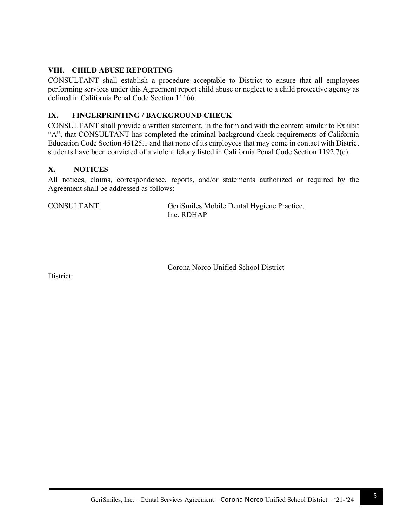## **VIII. CHILD ABUSE REPORTING**

CONSULTANT shall establish a procedure acceptable to District to ensure that all employees performing services under this Agreement report child abuse or neglect to a child protective agency as defined in California Penal Code Section 11166.

## **IX. FINGERPRINTING / BACKGROUND CHECK**

CONSULTANT shall provide a written statement, in the form and with the content similar to Exhibit "A", that CONSULTANT has completed the criminal background check requirements of California Education Code Section 45125.1 and that none of its employees that may come in contact with District students have been convicted of a violent felony listed in California Penal Code Section 1192.7(c).

### **X. NOTICES**

All notices, claims, correspondence, reports, and/or statements authorized or required by the Agreement shall be addressed as follows:

CONSULTANT:

GeriSmiles Mobile Dental Hygiene Practice, Inc. RDHAP

Corona Norco Unified School District

District: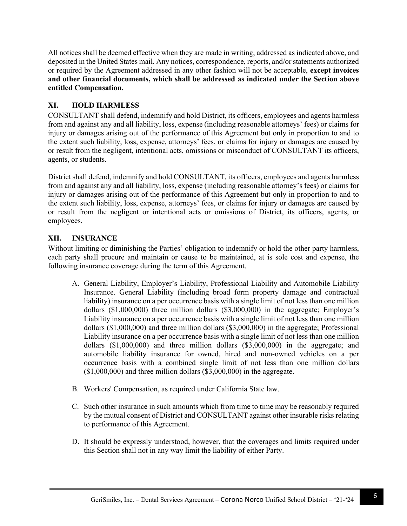All notices shall be deemed effective when they are made in writing, addressed as indicated above, and deposited in the United States mail. Any notices, correspondence, reports, and/or statements authorized or required by the Agreement addressed in any other fashion will not be acceptable, **except invoices and other financial documents, which shall be addressed as indicated under the Section above entitled Compensation.** 

# **XI. HOLD HARMLESS**

CONSULTANT shall defend, indemnify and hold District, its officers, employees and agents harmless from and against any and all liability, loss, expense (including reasonable attorneys' fees) or claims for injury or damages arising out of the performance of this Agreement but only in proportion to and to the extent such liability, loss, expense, attorneys' fees, or claims for injury or damages are caused by or result from the negligent, intentional acts, omissions or misconduct of CONSULTANT its officers, agents, or students.

District shall defend, indemnify and hold CONSULTANT, its officers, employees and agents harmless from and against any and all liability, loss, expense (including reasonable attorney's fees) or claims for injury or damages arising out of the performance of this Agreement but only in proportion to and to the extent such liability, loss, expense, attorneys' fees, or claims for injury or damages are caused by or result from the negligent or intentional acts or omissions of District, its officers, agents, or employees.

# **XII. INSURANCE**

Without limiting or diminishing the Parties' obligation to indemnify or hold the other party harmless, each party shall procure and maintain or cause to be maintained, at is sole cost and expense, the following insurance coverage during the term of this Agreement.

- A. General Liability, Employer's Liability, Professional Liability and Automobile Liability Insurance. General Liability (including broad form property damage and contractual liability) insurance on a per occurrence basis with a single limit of not less than one million dollars (\$1,000,000) three million dollars (\$3,000,000) in the aggregate; Employer's Liability insurance on a per occurrence basis with a single limit of not less than one million dollars (\$1,000,000) and three million dollars (\$3,000,000) in the aggregate; Professional Liability insurance on a per occurrence basis with a single limit of not less than one million dollars (\$1,000,000) and three million dollars (\$3,000,000) in the aggregate; and automobile liability insurance for owned, hired and non-owned vehicles on a per occurrence basis with a combined single limit of not less than one million dollars  $($1,000,000)$  and three million dollars  $($3,000,000)$  in the aggregate.
- B. Workers' Compensation, as required under California State law.
- C. Such other insurance in such amounts which from time to time may be reasonably required by the mutual consent of District and CONSULTANT against other insurable risks relating to performance of this Agreement.
- D. It should be expressly understood, however, that the coverages and limits required under this Section shall not in any way limit the liability of either Party.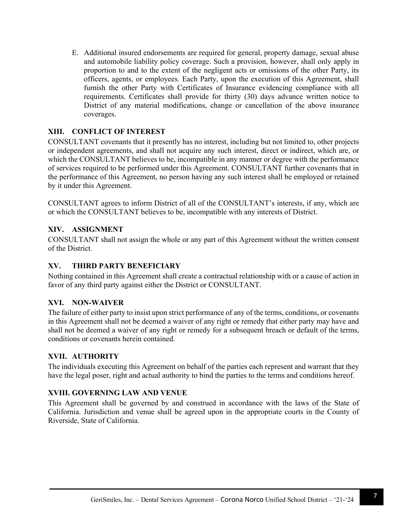E. Additional insured endorsements are required for general, property damage, sexual abuse and automobile liability policy coverage. Such a provision, however, shall only apply in proportion to and to the extent of the negligent acts or omissions of the other Party, its officers, agents, or employees. Each Party, upon the execution of this Agreement, shall furnish the other Party with Certificates of Insurance evidencing compliance with all requirements. Certificates shall provide for thirty (30) days advance written notice to District of any material modifications, change or cancellation of the above insurance coverages.

## **XIII. CONFLICT OF INTEREST**

CONSULTANT covenants that it presently has no interest, including but not limited to, other projects or independent agreements, and shall not acquire any such interest, direct or indirect, which are, or which the CONSULTANT believes to be, incompatible in any manner or degree with the performance of services required to be performed under this Agreement. CONSULTANT further covenants that in the performance of this Agreement, no person having any such interest shall be employed or retained by it under this Agreement.

CONSULTANT agrees to inform District of all of the CONSULTANT's interests, if any, which are or which the CONSULTANT believes to be, incompatible with any interests of District.

## **XIV. ASSIGNMENT**

CONSULTANT shall not assign the whole or any part of this Agreement without the written consent of the District.

## **XV. THIRD PARTY BENEFICIARY**

Nothing contained in this Agreement shall create a contractual relationship with or a cause of action in favor of any third party against either the District or CONSULTANT.

### **XVI. NON-WAIVER**

The failure of either party to insist upon strict performance of any of the terms, conditions, or covenants in this Agreement shall not be deemed a waiver of any right or remedy that either party may have and shall not be deemed a waiver of any right or remedy for a subsequent breach or default of the terms, conditions or covenants herein contained.

### **XVII. AUTHORITY**

The individuals executing this Agreement on behalf of the parties each represent and warrant that they have the legal poser, right and actual authority to bind the parties to the terms and conditions hereof.

### **XVIII. GOVERNING LAW AND VENUE**

This Agreement shall be governed by and construed in accordance with the laws of the State of California. Jurisdiction and venue shall be agreed upon in the appropriate courts in the County of Riverside, State of California.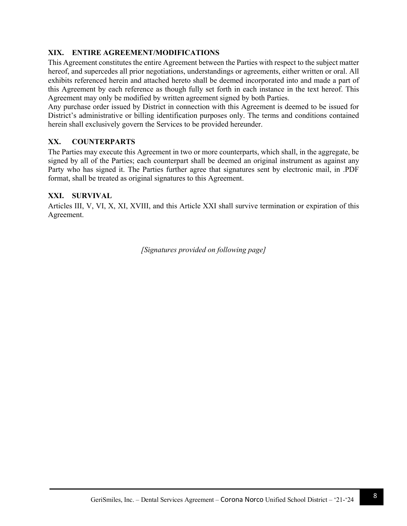## **XIX. ENTIRE AGREEMENT/MODIFICATIONS**

This Agreement constitutes the entire Agreement between the Parties with respect to the subject matter hereof, and supercedes all prior negotiations, understandings or agreements, either written or oral. All exhibits referenced herein and attached hereto shall be deemed incorporated into and made a part of this Agreement by each reference as though fully set forth in each instance in the text hereof. This Agreement may only be modified by written agreement signed by both Parties.

Any purchase order issued by District in connection with this Agreement is deemed to be issued for District's administrative or billing identification purposes only. The terms and conditions contained herein shall exclusively govern the Services to be provided hereunder.

## **XX. COUNTERPARTS**

The Parties may execute this Agreement in two or more counterparts, which shall, in the aggregate, be signed by all of the Parties; each counterpart shall be deemed an original instrument as against any Party who has signed it. The Parties further agree that signatures sent by electronic mail, in .PDF format, shall be treated as original signatures to this Agreement.

### **XXI. SURVIVAL**

Articles III, V, VI, X, XI, XVIII, and this Article XXI shall survive termination or expiration of this Agreement.

*[Signatures provided on following page]*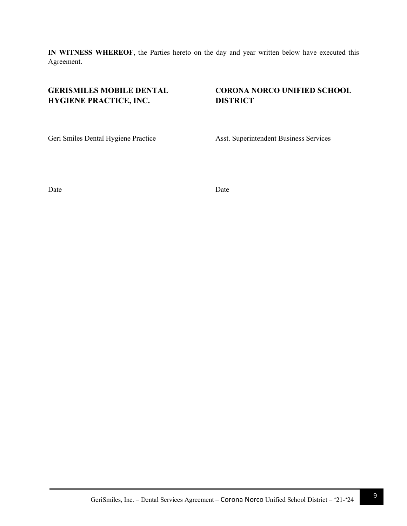**IN WITNESS WHEREOF**, the Parties hereto on the day and year written below have executed this Agreement.

# **GERISMILES MOBILE DENTAL HYGIENE PRACTICE, INC.**

# **CORONA NORCO UNIFIED SCHOOL DISTRICT**

Geri Smiles Dental Hygiene Practice

Asst. Superintendent Business Services

Date

Date